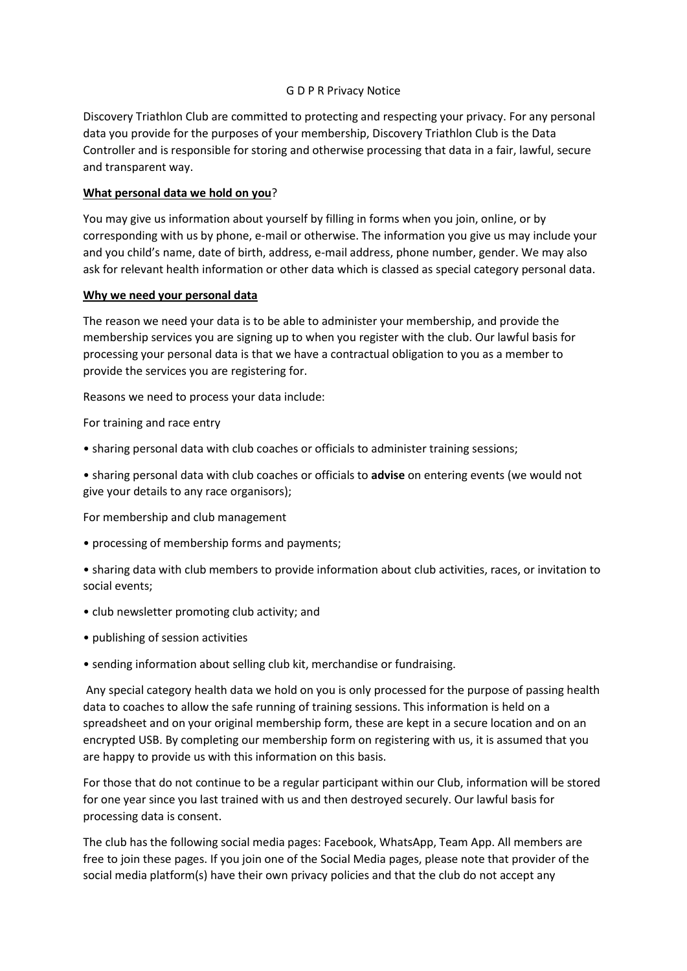#### G D P R Privacy Notice

Discovery Triathlon Club are committed to protecting and respecting your privacy. For any personal data you provide for the purposes of your membership, Discovery Triathlon Club is the Data Controller and is responsible for storing and otherwise processing that data in a fair, lawful, secure and transparent way.

# **What personal data we hold on you**?

You may give us information about yourself by filling in forms when you join, online, or by corresponding with us by phone, e-mail or otherwise. The information you give us may include your and you child's name, date of birth, address, e-mail address, phone number, gender. We may also ask for relevant health information or other data which is classed as special category personal data.

#### **Why we need your personal data**

The reason we need your data is to be able to administer your membership, and provide the membership services you are signing up to when you register with the club. Our lawful basis for processing your personal data is that we have a contractual obligation to you as a member to provide the services you are registering for.

Reasons we need to process your data include:

For training and race entry

• sharing personal data with club coaches or officials to administer training sessions;

• sharing personal data with club coaches or officials to **advise** on entering events (we would not give your details to any race organisors);

For membership and club management

- processing of membership forms and payments;
- sharing data with club members to provide information about club activities, races, or invitation to social events;
- club newsletter promoting club activity; and
- publishing of session activities
- sending information about selling club kit, merchandise or fundraising.

Any special category health data we hold on you is only processed for the purpose of passing health data to coaches to allow the safe running of training sessions. This information is held on a spreadsheet and on your original membership form, these are kept in a secure location and on an encrypted USB. By completing our membership form on registering with us, it is assumed that you are happy to provide us with this information on this basis.

For those that do not continue to be a regular participant within our Club, information will be stored for one year since you last trained with us and then destroyed securely. Our lawful basis for processing data is consent.

The club has the following social media pages: Facebook, WhatsApp, Team App. All members are free to join these pages. If you join one of the Social Media pages, please note that provider of the social media platform(s) have their own privacy policies and that the club do not accept any